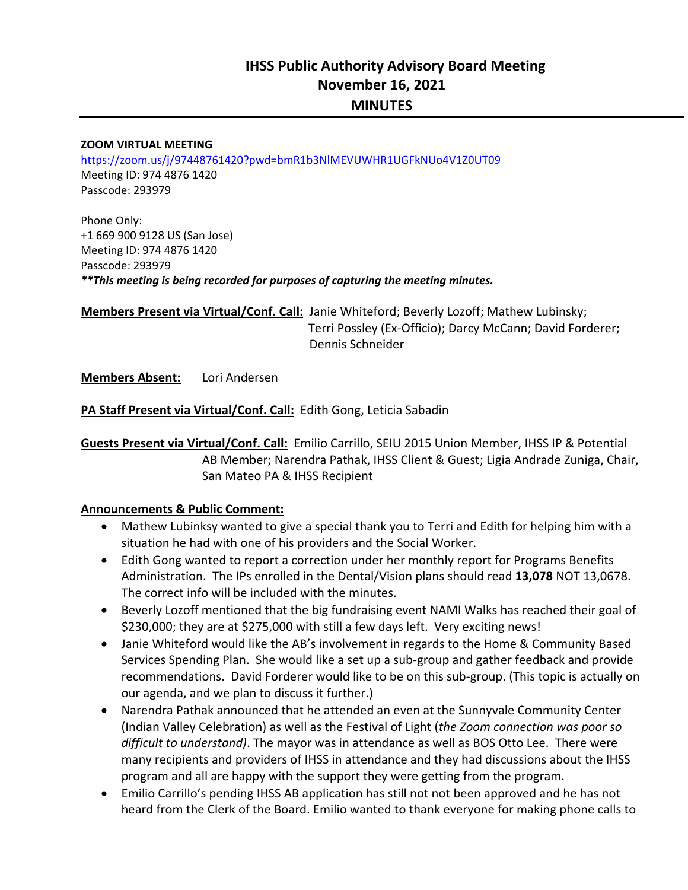# **IHSS Public Authority Advisory Board Meeting November 16, 2021 MINUTES**

#### **ZOOM VIRTUAL MEETING**

https://zoom.us/j/97448761420?pwd=bmR1b3NlMEVUWHR1UGFkNUo4V1Z0UT09 Meeting ID: 974 4876 1420 Passcode: 293979

Phone Only: +1 669 900 9128 US (San Jose) Meeting ID: 974 4876 1420 Passcode: 293979 *\*\*This meeting is being recorded for purposes of capturing the meeting minutes.* 

**Members Present via Virtual/Conf. Call:** Janie Whiteford; Beverly Lozoff; Mathew Lubinsky; L Terri Possley (Ex‐Officio); Darcy McCann; David Forderer; Dennis Schneider Dennis Schneider

**Members Absent:**  Lori Andersen

**PA Staff Present via Virtual/Conf. Call:** Edith Gong, Leticia Sabadin

**Guests Present via Virtual/Conf. Call:** Emilio Carrillo, SEIU 2015 Union Member, IHSS IP & Potential AB Member; Narendra Pathak, IHSS Client & Guest; Ligia Andrade Zuniga, Chair, San Mateo PA & IHSS Recipient

#### **Announcements & Public Comment:**

- Mathew Lubinksy wanted to give a special thank you to Terri and Edith for helping him with a situation he had with one of his providers and the Social Worker.
- Edith Gong wanted to report a correction under her monthly report for Programs Benefits Administration. The IPs enrolled in the Dental/Vision plans should read **13,078** NOT 13,0678. The correct info will be included with the minutes.
- Beverly Lozoff mentioned that the big fundraising event NAMI Walks has reached their goal of \$230,000; they are at \$275,000 with still a few days left. Very exciting news!
- Janie Whiteford would like the AB's involvement in regards to the Home & Community Based Services Spending Plan. She would like a set up a sub‐group and gather feedback and provide recommendations. David Forderer would like to be on this sub-group. (This topic is actually on our agenda, and we plan to discuss it further.)
- Narendra Pathak announced that he attended an even at the Sunnyvale Community Center (Indian Valley Celebration) as well as the Festival of Light (*the Zoom connection was poor so difficult to understand)*. The mayor was in attendance as well as BOS Otto Lee. There were many recipients and providers of IHSS in attendance and they had discussions about the IHSS program and all are happy with the support they were getting from the program.
- Emilio Carrillo's pending IHSS AB application has still not not been approved and he has not heard from the Clerk of the Board. Emilio wanted to thank everyone for making phone calls to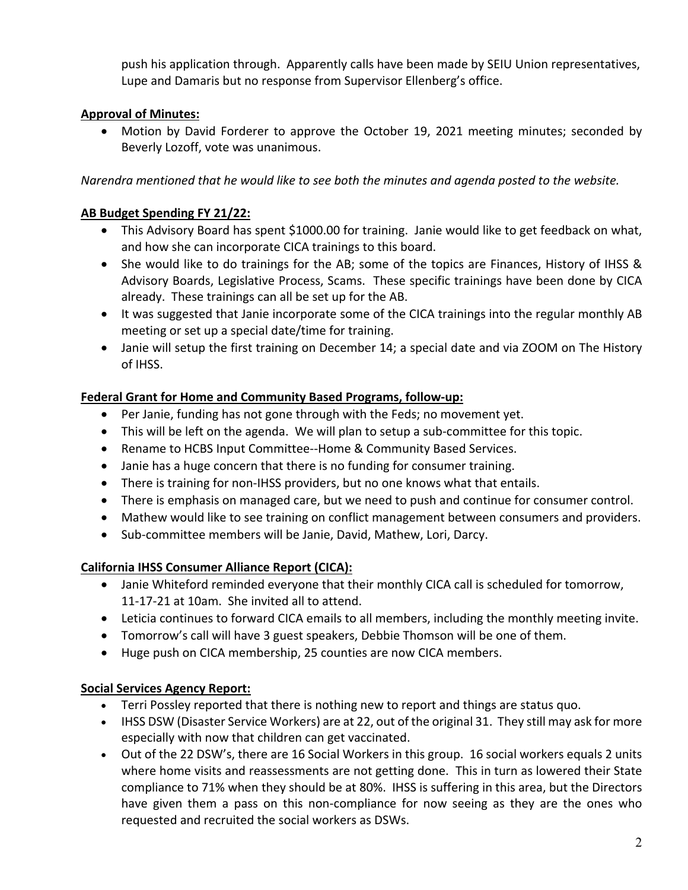push his application through. Apparently calls have been made by SEIU Union representatives, Lupe and Damaris but no response from Supervisor Ellenberg's office.

## **Approval of Minutes:**

• Motion by David Forderer to approve the October 19, 2021 meeting minutes; seconded by Beverly Lozoff, vote was unanimous.

*Narendra mentioned that he would like to see both the minutes and agenda posted to the website.* 

## **AB Budget Spending FY 21/22:**

- This Advisory Board has spent \$1000.00 for training. Janie would like to get feedback on what, and how she can incorporate CICA trainings to this board.
- She would like to do trainings for the AB; some of the topics are Finances, History of IHSS & Advisory Boards, Legislative Process, Scams. These specific trainings have been done by CICA already. These trainings can all be set up for the AB.
- It was suggested that Janie incorporate some of the CICA trainings into the regular monthly AB meeting or set up a special date/time for training.
- Janie will setup the first training on December 14; a special date and via ZOOM on The History of IHSS.

#### **Federal Grant for Home and Community Based Programs, follow‐up:**

- Per Janie, funding has not gone through with the Feds; no movement yet.
- This will be left on the agenda. We will plan to setup a sub-committee for this topic.
- Rename to HCBS Input Committee--Home & Community Based Services.
- Janie has a huge concern that there is no funding for consumer training.
- There is training for non-IHSS providers, but no one knows what that entails.
- There is emphasis on managed care, but we need to push and continue for consumer control.
- Mathew would like to see training on conflict management between consumers and providers.
- Sub-committee members will be Janie, David, Mathew, Lori, Darcy.

## **California IHSS Consumer Alliance Report (CICA):**

- Janie Whiteford reminded everyone that their monthly CICA call is scheduled for tomorrow, 11‐17‐21 at 10am. She invited all to attend.
- Leticia continues to forward CICA emails to all members, including the monthly meeting invite.
- Tomorrow's call will have 3 guest speakers, Debbie Thomson will be one of them.
- Huge push on CICA membership, 25 counties are now CICA members.

## **Social Services Agency Report:**

- Terri Possley reported that there is nothing new to report and things are status quo.
- IHSS DSW (Disaster Service Workers) are at 22, out of the original 31. They still may ask for more especially with now that children can get vaccinated.
- Out of the 22 DSW's, there are 16 Social Workers in this group. 16 social workers equals 2 units where home visits and reassessments are not getting done. This in turn as lowered their State compliance to 71% when they should be at 80%. IHSS is suffering in this area, but the Directors have given them a pass on this non-compliance for now seeing as they are the ones who requested and recruited the social workers as DSWs.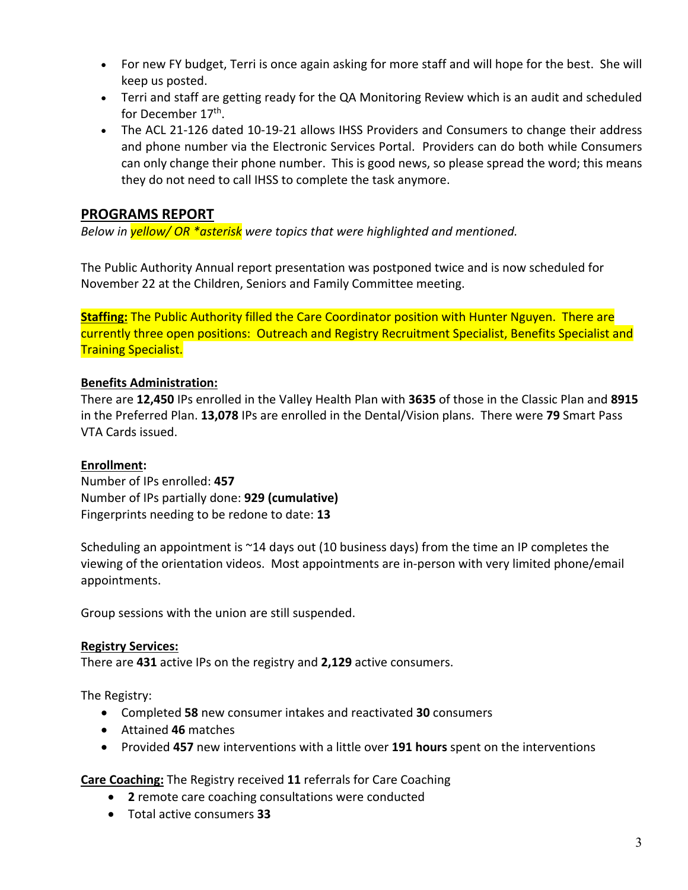- For new FY budget, Terri is once again asking for more staff and will hope for the best. She will keep us posted.
- Terri and staff are getting ready for the QA Monitoring Review which is an audit and scheduled for December 17<sup>th</sup>.
- The ACL 21-126 dated 10-19-21 allows IHSS Providers and Consumers to change their address and phone number via the Electronic Services Portal. Providers can do both while Consumers can only change their phone number. This is good news, so please spread the word; this means they do not need to call IHSS to complete the task anymore.

## **PROGRAMS REPORT**

*Below in yellow/ OR \*asterisk were topics that were highlighted and mentioned.* 

The Public Authority Annual report presentation was postponed twice and is now scheduled for November 22 at the Children, Seniors and Family Committee meeting.

**Staffing:** The Public Authority filled the Care Coordinator position with Hunter Nguyen. There are currently three open positions: Outreach and Registry Recruitment Specialist, Benefits Specialist and Training Specialist.

### **Benefits Administration:**

There are **12,450** IPs enrolled in the Valley Health Plan with **3635** of those in the Classic Plan and **8915**  in the Preferred Plan. **13,078** IPs are enrolled in the Dental/Vision plans. There were **79** Smart Pass VTA Cards issued.

#### **Enrollment:**

Number of IPs enrolled: **457**  Number of IPs partially done: **929 (cumulative)** Fingerprints needing to be redone to date: **13** 

Scheduling an appointment is ~14 days out (10 business days) from the time an IP completes the viewing of the orientation videos. Most appointments are in‐person with very limited phone/email appointments.

Group sessions with the union are still suspended.

#### **Registry Services:**

There are **431** active IPs on the registry and **2,129** active consumers.

The Registry:

- Completed **58** new consumer intakes and reactivated **30** consumers
- Attained **46** matches
- Provided **457** new interventions with a little over **191 hours** spent on the interventions

**Care Coaching:** The Registry received **11** referrals for Care Coaching

- **2** remote care coaching consultations were conducted
- Total active consumers **33**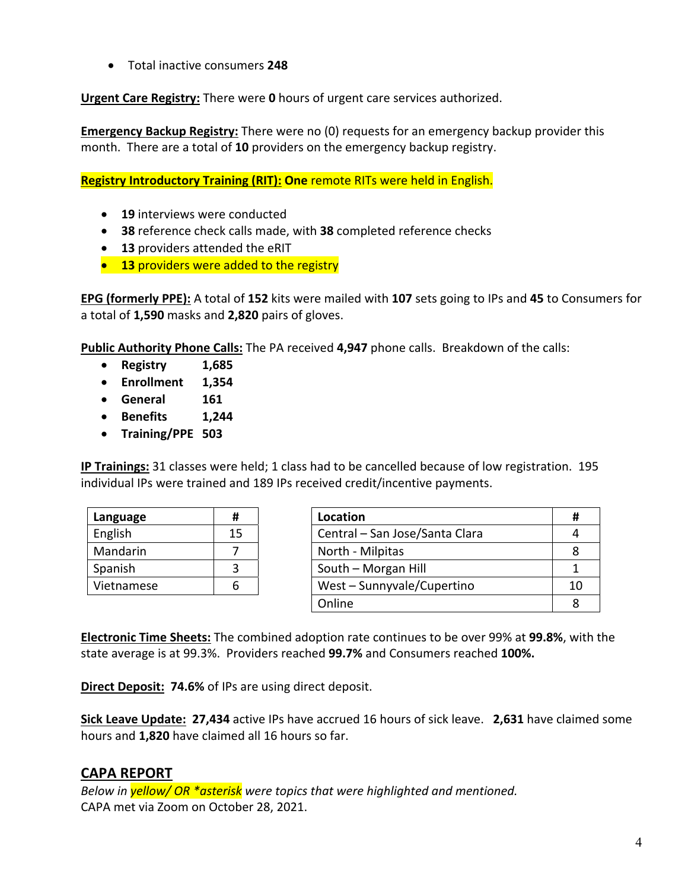Total inactive consumers **248** 

**Urgent Care Registry:** There were **0** hours of urgent care services authorized.

**Emergency Backup Registry:** There were no (0) requests for an emergency backup provider this month. There are a total of **10** providers on the emergency backup registry.

**Registry Introductory Training (RIT): One** remote RITs were held in English.

- **19** interviews were conducted
- **38** reference check calls made, with **38** completed reference checks
- **13** providers attended the eRIT
- **13** providers were added to the registry

**EPG (formerly PPE):** A total of **152** kits were mailed with **107** sets going to IPs and **45** to Consumers for a total of **1,590** masks and **2,820** pairs of gloves.

**Public Authority Phone Calls:** The PA received **4,947** phone calls. Breakdown of the calls:

- **Registry 1,685**
- **Enrollment 1,354**
- **General 161**
- **Benefits 1,244**
- **Training/PPE 503**

**IP Trainings:** 31 classes were held; 1 class had to be cancelled because of low registration. 195 individual IPs were trained and 189 IPs received credit/incentive payments.

| Language   | #  |
|------------|----|
| English    | 15 |
| Mandarin   |    |
| Spanish    |    |
| Vietnamese | A  |

| Language   | Ħ  | Location                       |    |
|------------|----|--------------------------------|----|
| English    | 15 | Central - San Jose/Santa Clara |    |
| Mandarin   |    | North - Milpitas               |    |
| Spanish    |    | South - Morgan Hill            |    |
| Vietnamese |    | West - Sunnyvale/Cupertino     | 10 |
|            |    | Online                         |    |

**Electronic Time Sheets:** The combined adoption rate continues to be over 99% at **99.8%**, with the state average is at 99.3%. Providers reached **99.7%** and Consumers reached **100%.**

**Direct Deposit: 74.6%** of IPs are using direct deposit.

**Sick Leave Update: 27,434** active IPs have accrued 16 hours of sick leave. **2,631** have claimed some hours and **1,820** have claimed all 16 hours so far.

#### **CAPA REPORT**

*Below in yellow/ OR \*asterisk were topics that were highlighted and mentioned.*  CAPA met via Zoom on October 28, 2021.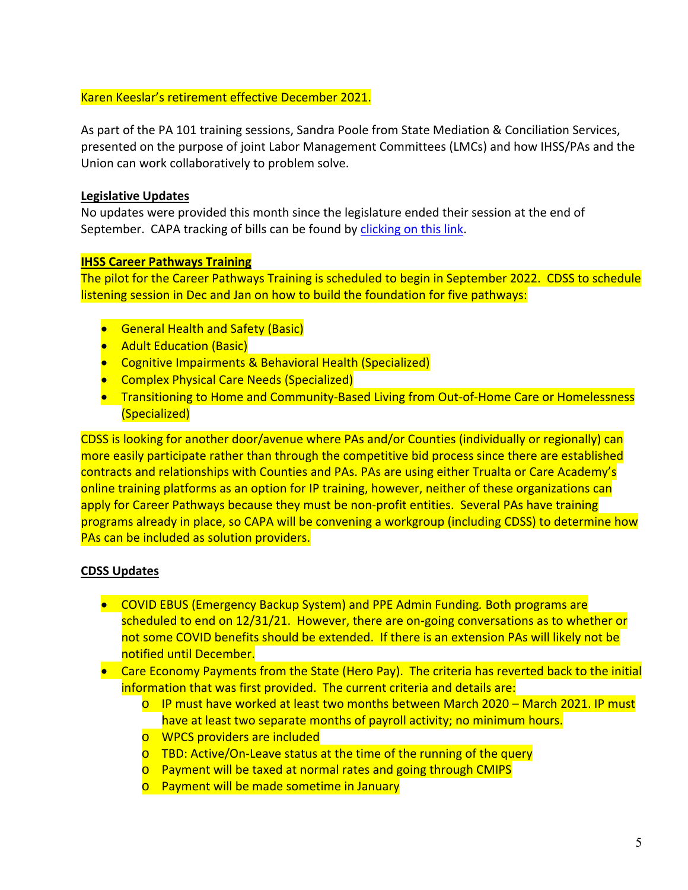#### Karen Keeslar's retirement effective December 2021.

As part of the PA 101 training sessions, Sandra Poole from State Mediation & Conciliation Services, presented on the purpose of joint Labor Management Committees (LMCs) and how IHSS/PAs and the Union can work collaboratively to problem solve.

#### **Legislative Updates**

No updates were provided this month since the legislature ended their session at the end of September. CAPA tracking of bills can be found by clicking on this link.

#### **IHSS Career Pathways Training**

The pilot for the Career Pathways Training is scheduled to begin in September 2022. CDSS to schedule listening session in Dec and Jan on how to build the foundation for five pathways:

- **•** General Health and Safety (Basic)
- **•** Adult Education (Basic)
- Cognitive Impairments & Behavioral Health (Specialized)
- **•** Complex Physical Care Needs (Specialized)
- Transitioning to Home and Community-Based Living from Out-of-Home Care or Homelessness (Specialized)

CDSS is looking for another door/avenue where PAs and/or Counties (individually or regionally) can more easily participate rather than through the competitive bid process since there are established contracts and relationships with Counties and PAs. PAs are using either Trualta or Care Academy's online training platforms as an option for IP training, however, neither of these organizations can apply for Career Pathways because they must be non-profit entities. Several PAs have training programs already in place, so CAPA will be convening a workgroup (including CDSS) to determine how PAs can be included as solution providers.

#### **CDSS Updates**

- COVID EBUS (Emergency Backup System) and PPE Admin Funding*.* Both programs are scheduled to end on 12/31/21. However, there are on-going conversations as to whether or not some COVID benefits should be extended. If there is an extension PAs will likely not be notified until December.
- Care Economy Payments from the State (Hero Pay). The criteria has reverted back to the initial information that was first provided. The current criteria and details are:
	- o IP must have worked at least two months between March 2020 March 2021. IP must have at least two separate months of payroll activity; no minimum hours.
	- o WPCS providers are included
	- o TBD: Active/On‐Leave status at the time of the running of the query
	- o Payment will be taxed at normal rates and going through CMIPS
	- o Payment will be made sometime in January